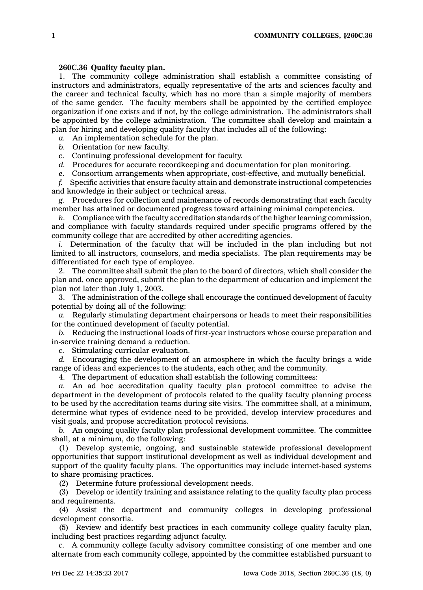## **260C.36 Quality faculty plan.**

1. The community college administration shall establish <sup>a</sup> committee consisting of instructors and administrators, equally representative of the arts and sciences faculty and the career and technical faculty, which has no more than <sup>a</sup> simple majority of members of the same gender. The faculty members shall be appointed by the certified employee organization if one exists and if not, by the college administration. The administrators shall be appointed by the college administration. The committee shall develop and maintain <sup>a</sup> plan for hiring and developing quality faculty that includes all of the following:

*a.* An implementation schedule for the plan.

*b.* Orientation for new faculty.

*c.* Continuing professional development for faculty.

*d.* Procedures for accurate recordkeeping and documentation for plan monitoring.

*e.* Consortium arrangements when appropriate, cost-effective, and mutually beneficial.

*f.* Specific activities that ensure faculty attain and demonstrate instructional competencies and knowledge in their subject or technical areas.

*g.* Procedures for collection and maintenance of records demonstrating that each faculty member has attained or documented progress toward attaining minimal competencies.

*h.* Compliance with the faculty accreditation standards of the higher learning commission, and compliance with faculty standards required under specific programs offered by the community college that are accredited by other accrediting agencies.

*i.* Determination of the faculty that will be included in the plan including but not limited to all instructors, counselors, and media specialists. The plan requirements may be differentiated for each type of employee.

2. The committee shall submit the plan to the board of directors, which shall consider the plan and, once approved, submit the plan to the department of education and implement the plan not later than July 1, 2003.

3. The administration of the college shall encourage the continued development of faculty potential by doing all of the following:

*a.* Regularly stimulating department chairpersons or heads to meet their responsibilities for the continued development of faculty potential.

*b.* Reducing the instructional loads of first-year instructors whose course preparation and in-service training demand <sup>a</sup> reduction.

*c.* Stimulating curricular evaluation.

*d.* Encouraging the development of an atmosphere in which the faculty brings <sup>a</sup> wide range of ideas and experiences to the students, each other, and the community.

4. The department of education shall establish the following committees:

*a.* An ad hoc accreditation quality faculty plan protocol committee to advise the department in the development of protocols related to the quality faculty planning process to be used by the accreditation teams during site visits. The committee shall, at <sup>a</sup> minimum, determine what types of evidence need to be provided, develop interview procedures and visit goals, and propose accreditation protocol revisions.

*b.* An ongoing quality faculty plan professional development committee. The committee shall, at <sup>a</sup> minimum, do the following:

(1) Develop systemic, ongoing, and sustainable statewide professional development opportunities that support institutional development as well as individual development and support of the quality faculty plans. The opportunities may include internet-based systems to share promising practices.

(2) Determine future professional development needs.

(3) Develop or identify training and assistance relating to the quality faculty plan process and requirements.

(4) Assist the department and community colleges in developing professional development consortia.

(5) Review and identify best practices in each community college quality faculty plan, including best practices regarding adjunct faculty.

*c.* A community college faculty advisory committee consisting of one member and one alternate from each community college, appointed by the committee established pursuant to